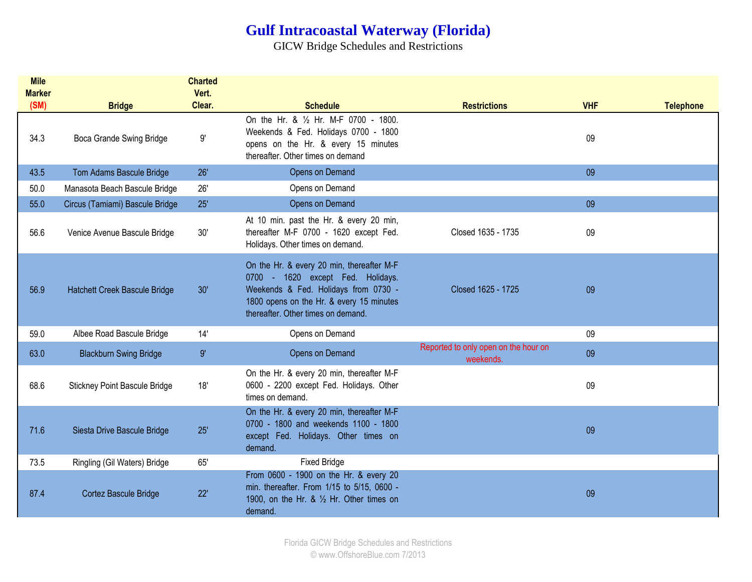## **Gulf Intracoastal Waterway (Florida)**

GICW Bridge Schedules and Restrictions

| <b>Mile</b><br><b>Marker</b> |                                      | <b>Charted</b><br>Vert. |                                                                                                                                                                                                          |                                                   |            |                  |
|------------------------------|--------------------------------------|-------------------------|----------------------------------------------------------------------------------------------------------------------------------------------------------------------------------------------------------|---------------------------------------------------|------------|------------------|
| (SM)                         | <b>Bridge</b>                        | Clear.                  | <b>Schedule</b>                                                                                                                                                                                          | <b>Restrictions</b>                               | <b>VHF</b> | <b>Telephone</b> |
| 34.3                         | Boca Grande Swing Bridge             | 9'                      | On the Hr. & 1/2 Hr. M-F 0700 - 1800.<br>Weekends & Fed. Holidays 0700 - 1800<br>opens on the Hr. & every 15 minutes<br>thereafter. Other times on demand                                                |                                                   | 09         |                  |
| 43.5                         | Tom Adams Bascule Bridge             | 26'                     | Opens on Demand                                                                                                                                                                                          |                                                   | 09         |                  |
| 50.0                         | Manasota Beach Bascule Bridge        | 26'                     | Opens on Demand                                                                                                                                                                                          |                                                   |            |                  |
| 55.0                         | Circus (Tamiami) Bascule Bridge      | 25'                     | Opens on Demand                                                                                                                                                                                          |                                                   | 09         |                  |
| 56.6                         | Venice Avenue Bascule Bridge         | 30'                     | At 10 min. past the Hr. & every 20 min,<br>thereafter M-F 0700 - 1620 except Fed.<br>Holidays. Other times on demand.                                                                                    | Closed 1635 - 1735                                | 09         |                  |
| 56.9                         | Hatchett Creek Bascule Bridge        | 30'                     | On the Hr. & every 20 min, thereafter M-F<br>0700 - 1620 except Fed. Holidays.<br>Weekends & Fed. Holidays from 0730 -<br>1800 opens on the Hr. & every 15 minutes<br>thereafter. Other times on demand. | Closed 1625 - 1725                                | 09         |                  |
| 59.0                         | Albee Road Bascule Bridge            | 14'                     | Opens on Demand                                                                                                                                                                                          |                                                   | 09         |                  |
| 63.0                         | <b>Blackburn Swing Bridge</b>        | 9'                      | Opens on Demand                                                                                                                                                                                          | Reported to only open on the hour on<br>weekends. | 09         |                  |
| 68.6                         | <b>Stickney Point Bascule Bridge</b> | 18'                     | On the Hr. & every 20 min, thereafter M-F<br>0600 - 2200 except Fed. Holidays. Other<br>times on demand.                                                                                                 |                                                   | 09         |                  |
| 71.6                         | Siesta Drive Bascule Bridge          | 25'                     | On the Hr. & every 20 min, thereafter M-F<br>0700 - 1800 and weekends 1100 - 1800<br>except Fed. Holidays. Other times on<br>demand.                                                                     |                                                   | 09         |                  |
| 73.5                         | Ringling (Gil Waters) Bridge         | 65'                     | <b>Fixed Bridge</b>                                                                                                                                                                                      |                                                   |            |                  |
| 87.4                         | Cortez Bascule Bridge                | 22'                     | From 0600 - 1900 on the Hr. & every 20<br>min. thereafter. From 1/15 to 5/15, 0600 -<br>1900, on the Hr. & $\frac{1}{2}$ Hr. Other times on<br>demand.                                                   |                                                   | 09         |                  |